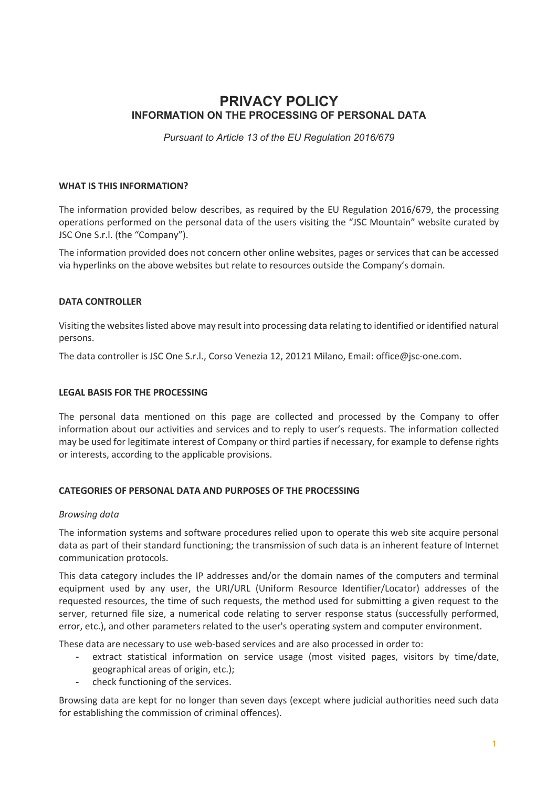# **PRIVACY POLICY INFORMATION ON THE PROCESSING OF PERSONAL DATA**

*Pursuant to Article 13 of the EU Regulation 2016/679*

## **WHAT IS THIS INFORMATION?**

The information provided below describes, as required by the EU Regulation 2016/679, the processing operations performed on the personal data of the users visiting the "JSC Mountain" website curated by JSC One S.r.l. (the "Company").

The information provided does not concern other online websites, pages or services that can be accessed via hyperlinks on the above websites but relate to resources outside the Company's domain.

# **DATA CONTROLLER**

Visiting the websites listed above may result into processing data relating to identified or identified natural persons.

The data controller is JSC One S.r.l., Corso Venezia 12, 20121 Milano, Email: office@jsc-one.com.

## **LEGAL BASIS FOR THE PROCESSING**

The personal data mentioned on this page are collected and processed by the Company to offer information about our activities and services and to reply to user's requests. The information collected may be used for legitimate interest of Company or third parties if necessary, for example to defense rights or interests, according to the applicable provisions.

#### **CATEGORIES OF PERSONAL DATA AND PURPOSES OF THE PROCESSING**

#### *Browsing data*

The information systems and software procedures relied upon to operate this web site acquire personal data as part of their standard functioning; the transmission of such data is an inherent feature of Internet communication protocols.

This data category includes the IP addresses and/or the domain names of the computers and terminal equipment used by any user, the URI/URL (Uniform Resource Identifier/Locator) addresses of the requested resources, the time of such requests, the method used for submitting a given request to the server, returned file size, a numerical code relating to server response status (successfully performed, error, etc.), and other parameters related to the user's operating system and computer environment.

These data are necessary to use web-based services and are also processed in order to:

- extract statistical information on service usage (most visited pages, visitors by time/date, geographical areas of origin, etc.);
- check functioning of the services.

Browsing data are kept for no longer than seven days (except where judicial authorities need such data for establishing the commission of criminal offences).